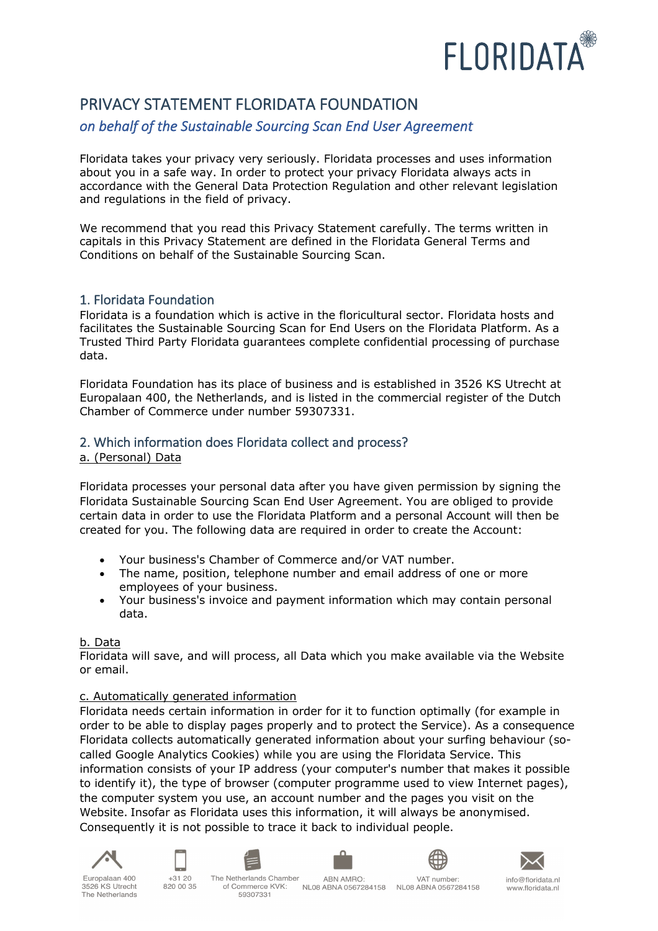

# PRIVACY STATEMENT FLORIDATA FOUNDATION

## *on behalf of the Sustainable Sourcing Scan End User Agreement*

Floridata takes your privacy very seriously. Floridata processes and uses information about you in a safe way. In order to protect your privacy Floridata always acts in accordance with the General Data Protection Regulation and other relevant legislation and regulations in the field of privacy.

We recommend that you read this Privacy Statement carefully. The terms written in capitals in this Privacy Statement are defined in the Floridata General Terms and Conditions on behalf of the Sustainable Sourcing Scan.

## 1. Floridata Foundation

Floridata is a foundation which is active in the floricultural sector. Floridata hosts and facilitates the Sustainable Sourcing Scan for End Users on the Floridata Platform. As a Trusted Third Party Floridata guarantees complete confidential processing of purchase data.

Floridata Foundation has its place of business and is established in 3526 KS Utrecht at Europalaan 400, the Netherlands, and is listed in the commercial register of the Dutch Chamber of Commerce under number 59307331.

## 2. Which information does Floridata collect and process?

a. (Personal) Data

Floridata processes your personal data after you have given permission by signing the Floridata Sustainable Sourcing Scan End User Agreement. You are obliged to provide certain data in order to use the Floridata Platform and a personal Account will then be created for you. The following data are required in order to create the Account:

- Your business's Chamber of Commerce and/or VAT number.
- The name, position, telephone number and email address of one or more employees of your business.
- Your business's invoice and payment information which may contain personal data.

## b. Data

Floridata will save, and will process, all Data which you make available via the Website or email.

## c. Automatically generated information

Floridata needs certain information in order for it to function optimally (for example in order to be able to display pages properly and to protect the Service). As a consequence Floridata collects automatically generated information about your surfing behaviour (socalled Google Analytics Cookies) while you are using the Floridata Service. This information consists of your IP address (your computer's number that makes it possible to identify it), the type of browser (computer programme used to view Internet pages), the computer system you use, an account number and the pages you visit on the Website. Insofar as Floridata uses this information, it will always be anonymised. Consequently it is not possible to trace it back to individual people.





820.00.35







₩ VAT number:



Europalaan 400 3526 KS Utrecht The Netherlands

of Commerce KVK: 59307331

NL08 ABNA 0567284158 NL08 ABNA 0567284158

info@floridata.nl www.floridata.nl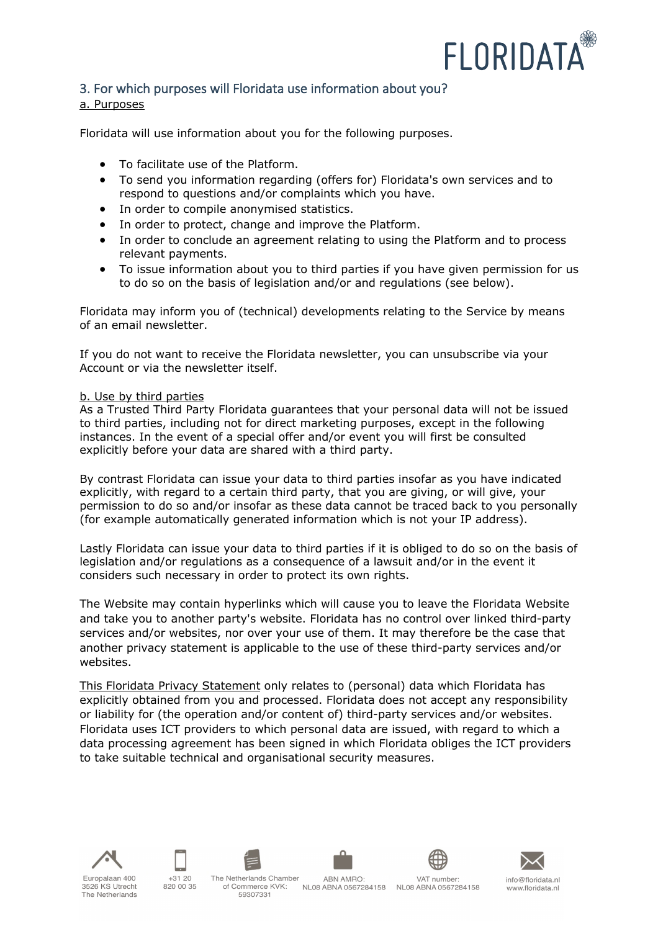

## 3. For which purposes will Floridata use information about you?

#### a. Purposes

Floridata will use information about you for the following purposes.

- To facilitate use of the Platform.
- To send you information regarding (offers for) Floridata's own services and to respond to questions and/or complaints which you have.
- In order to compile anonymised statistics.
- In order to protect, change and improve the Platform.
- In order to conclude an agreement relating to using the Platform and to process relevant payments.
- To issue information about you to third parties if you have given permission for us to do so on the basis of legislation and/or and regulations (see below).

Floridata may inform you of (technical) developments relating to the Service by means of an email newsletter.

If you do not want to receive the Floridata newsletter, you can unsubscribe via your Account or via the newsletter itself.

#### b. Use by third parties

As a Trusted Third Party Floridata guarantees that your personal data will not be issued to third parties, including not for direct marketing purposes, except in the following instances. In the event of a special offer and/or event you will first be consulted explicitly before your data are shared with a third party.

By contrast Floridata can issue your data to third parties insofar as you have indicated explicitly, with regard to a certain third party, that you are giving, or will give, your permission to do so and/or insofar as these data cannot be traced back to you personally (for example automatically generated information which is not your IP address).

Lastly Floridata can issue your data to third parties if it is obliged to do so on the basis of legislation and/or regulations as a consequence of a lawsuit and/or in the event it considers such necessary in order to protect its own rights.

The Website may contain hyperlinks which will cause you to leave the Floridata Website and take you to another party's website. Floridata has no control over linked third-party services and/or websites, nor over your use of them. It may therefore be the case that another privacy statement is applicable to the use of these third-party services and/or websites.

This Floridata Privacy Statement only relates to (personal) data which Floridata has explicitly obtained from you and processed. Floridata does not accept any responsibility or liability for (the operation and/or content of) third-party services and/or websites. Floridata uses ICT providers to which personal data are issued, with regard to which a data processing agreement has been signed in which Floridata obliges the ICT providers to take suitable technical and organisational security measures.











VAT number: NL08 ABNA 0567284158 NL08 ABNA 0567284158



info@floridata.nl www.floridata.nl